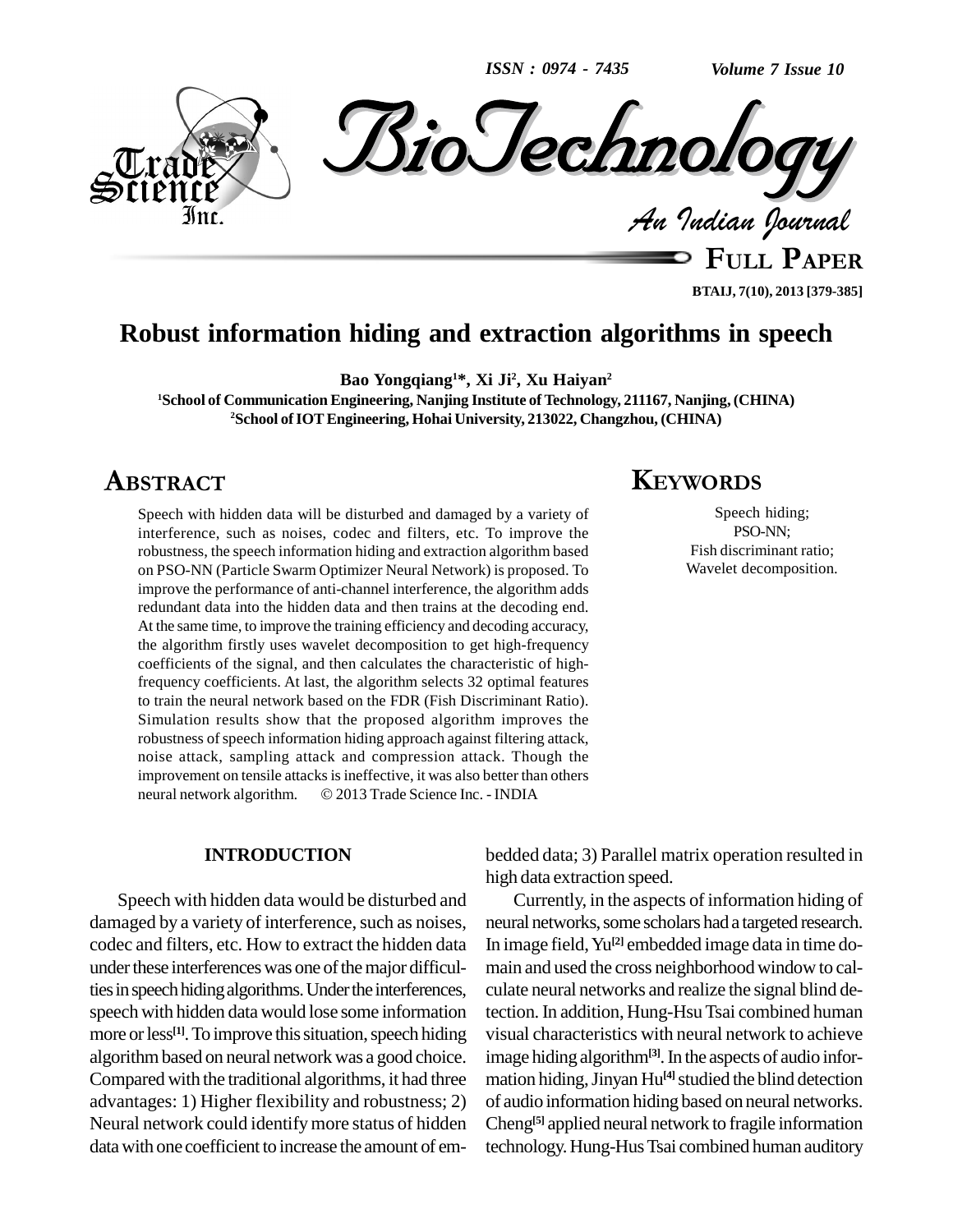*ISSN : 0974 - 7435*

*Volume 7 Issue 10*



**BTAIJ, 7(10), 2013 [379-385]**

# **Robust information hiding and extraction algorithms in speech**

**Bao Yongqiang <sup>1</sup>\*, Xi Ji<sup>2</sup> , Xu Haiyan 2**

**<sup>1</sup>School of Communication Engineering, Nanjing Institute of Technology, 211167, Nanjing, (CHINA)**  $2$ **School of IOT Engineering, Hohai University, 213022, Changzhou, (CHINA)** 

# **ABSTRACT**

Speech with hidden data will be disturbed and damaged by a variety of interference, such as noises, codec and filters, etc. To improve the robustness, the speech information hiding and extraction algorithm based on PSO-NN (Particle Swarm Optimizer Neural Network) is proposed. To improve the performance of anti-channel interference, the algorithm adds redundant data into the hidden data and then trains at the decoding end. At the same time, to improve the training efficiency and decoding accuracy, the algorithm firstly uses wavelet decomposition to get high-frequency coefficients of the signal, and then calculates the characteristic of highfrequency coefficients. At last, the algorithm selects 32 optimal features to train the neural network based on the FDR (Fish Discriminant Ratio). Simulation results show that the proposed algorithm improves the robustness of speech information hiding approach against filtering attack, noise attack, sampling attack and compression attack. Though the<br>improvement on tensile attacks is ineffective, it was also better than others<br>neural network algorithm. © 2013 Trade Science Inc. - INDIA improvement on tensile attacks is ineffective, it was also better than others

#### **INTRODUCTION**

Speech with hidden data would be disturbed and damaged by a variety of interference, such as noises, codec and filters, etc. How to extract the hidden data under these interferences was one of the major difficulties in speech hiding algorithms. Under the interferences, speech with hidden data would lose some information more or less<sup>[1]</sup>. To improve this situation, speech hiding visual algorithmbased on neural network was a good choice. Compared with the traditional algorithms, it had three advantages: 1) Higher flexibility and robustness; 2) Neural network could identifymore status of hidden datawith one coefficient to increase the amount of em-

# **KEYWORDS**

Speech hiding; PSO-NN; Fish discriminant ratio; Wavelet decomposition.

bedded data; 3) Parallel matrix operation resulted in high data extraction speed.

Currently, in the aspects of information hiding of neural networks, some scholars had a targeted research. In image field,Yu **[2]** embedded image data in time do main and used the cross neighborhood window to calculate neural networks and realize the signal blind detection. In addition, Hung-HsuTsai combined human visual characteristics with neural network to achieve image hiding algorithm<sup>[3]</sup>. In the aspects of audio information hiding, Jinyan Hu<sup>[4]</sup> studied the blind detection of audio information hiding based on neural networks. Cheng **[5]** applied neural network to fragile information technology.Hung-HusTsai combined human auditory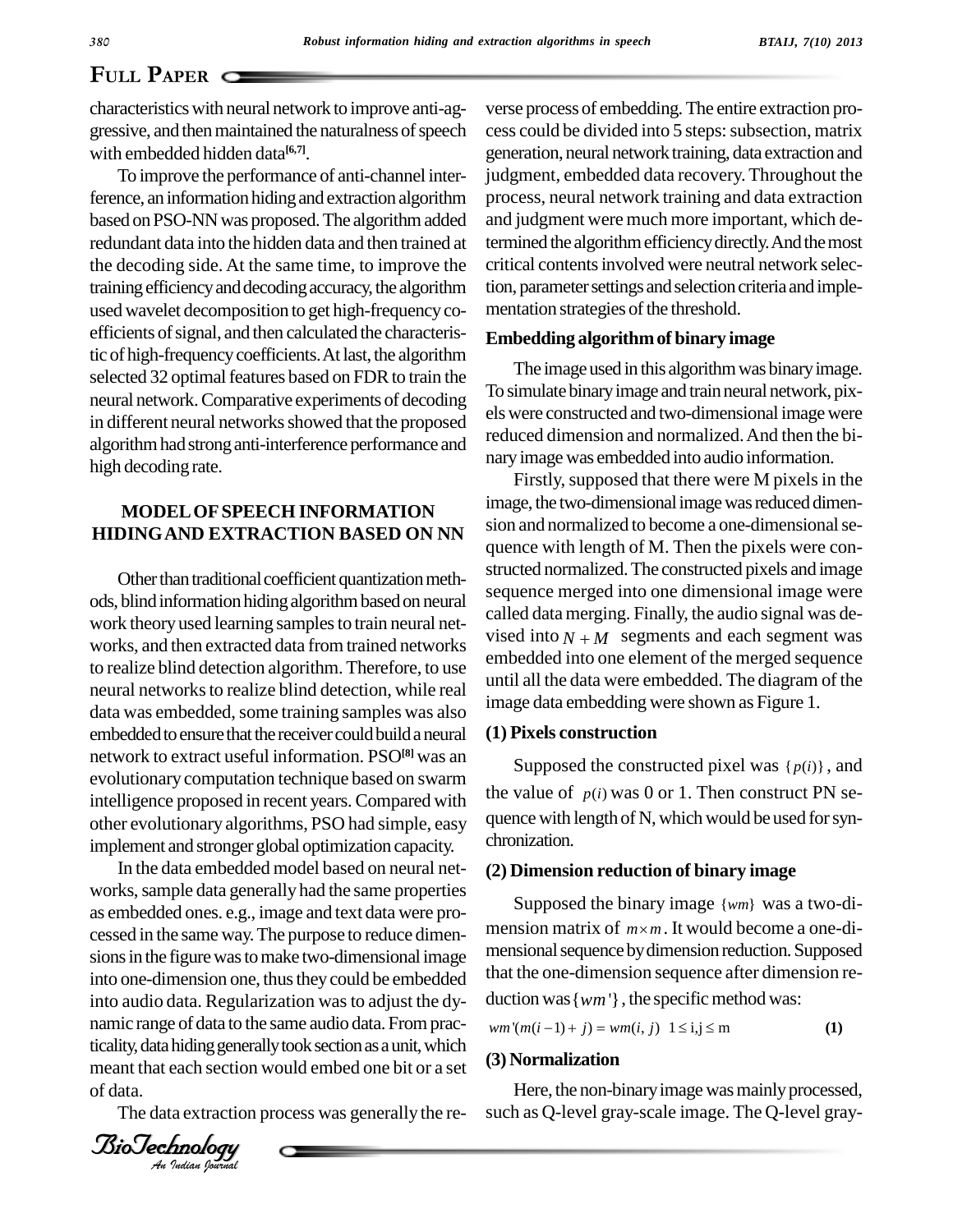# **PAPER**

characteristics with neural network to improve anti-aggressive, and then maintained the naturalness of speech with embedded hidden data **[6,7]**.

To improve the performance of anti-channel interference, an information hiding and extraction algorithm based on PSO-NN was proposed. The algorithm added redundant data into the hidden data and then trained at the decoding side. At the same time, to improve the trainingefficiencyanddecodingaccuracy,the algorithm used wavelet decomposition to get high-frequencyco efficients of signal, and then calculated the characteristic of high-frequency coefficients. At last, the algorithm selected 32 optimal features based on FDR to train the neural network.Comparative experiments of decoding in different neural networks showed that the proposed algorithmhadstronganti-interference performance and high decoding rate.

## **MODELOFSPEECH INFORMATION HIDINGAND EXTRACTION BASED ON NN**

Other than traditional coefficient quantization methods, blind information hiding algorithm based on neural work theory used learning samples to train neural net-<br>wised into  $N + M$  segments and each segment was works, and then extracted data fromtrained networks to realize blind detection algorithm. Therefore, to use neural networks to realize blind detection, while real data was embedded, some training samples was also embedded to ensure that the receiver could build a neural network to extract useful information. PSO**[8]** was an evolutionary computation technique based on swarm intelligence proposed in recent years.Compared with other evolutionary algorithms, PSO had simple, easy implement and stronger global optimization capacity.

sions in the rightle was to make two-dimensional image<br>into one-dimension one, thus they could be embedded that the  $A$ <sup>*Antinuo calge of data to the same databadata. Trom practicality, data hiding generally took section as a unit, which</sup>* In the data embedded model based on neural net works, sample data generally had the same properties as embedded ones. e.g., image and text data were pro cessed in the same way.The purpose to reduce dimen sions in the figure was to make two-dimensional image into audio data. Regularization was to adjust the dynamic range of data to the same audio data. Frompracmeant that each section would embed one bit or a set of data.

The data extraction process was generally the re-



verse process of embedding.The entire extraction pro cess could be divided into 5 steps: subsection, matrix generation, neural network training, data extraction and judgment, embedded data recovery. Throughout the process, neural network training and data extraction and judgment were much more important, which determined the algorithm efficiency directly. And the most critical contents involved were neutral network selection, parameter settings and selection criteria and implementation strategies of the threshold.

#### **Embedding algorithmof binary image**

The image used in this algorithm was binary image. To simulate binary image and train neural network, pixelswere constructed and two-dimensional image were reduced dimension and normalized.And then the bi naryimage was embedded into audio information.

Firstly, supposed that there were M pixels in the image, the two-dimensional image was reduced dimension and normalized to become a one-dimensional sequence with length of M. Then the pixels were con structed normalized.The constructed pixels and image sequence merged into one dimensional image were called data merging. Finally, the audio signal was de sequence merged into one dimensional image were<br>called data merging. Finally, the audio signal was de-<br>vised into  $N + M$  segments and each segment was embedded into one element of the merged sequence until all the data were embedded. The diagram of the image data embedding were shown as Figure 1.

#### **(1) Pixels construction**

Supposed the constructed pixel was  $\{p(i)\}\$ , and the value of  $p(i)$  was 0 or 1. Then construct PN sequence with length of N, which would be used for synchronization.

#### **(2) Dimension reduction of binary image**

Supposed the binary image {*wm*} was a two-di mension matrix of  $m \times m$ . It would become a one-dimensional sequence by dimension reduction. Supposed that the one-dimension sequence after dimension re duction was  $\{wm'\}$ , the specific method was:<br>*wm'*(*m*(*i* - 1) + *j*) = *wm*(*i*, *j*) 1 ≤ i,j ≤ m (1)

$$
wm'(m(i-1) + j) = w m(i, j) \quad 1 \le i, j \le m
$$
 (1)

# **(3) Normalization**

Here, the non-binary image was mainly processed, such as Q-level gray-scale image. The Q-level gray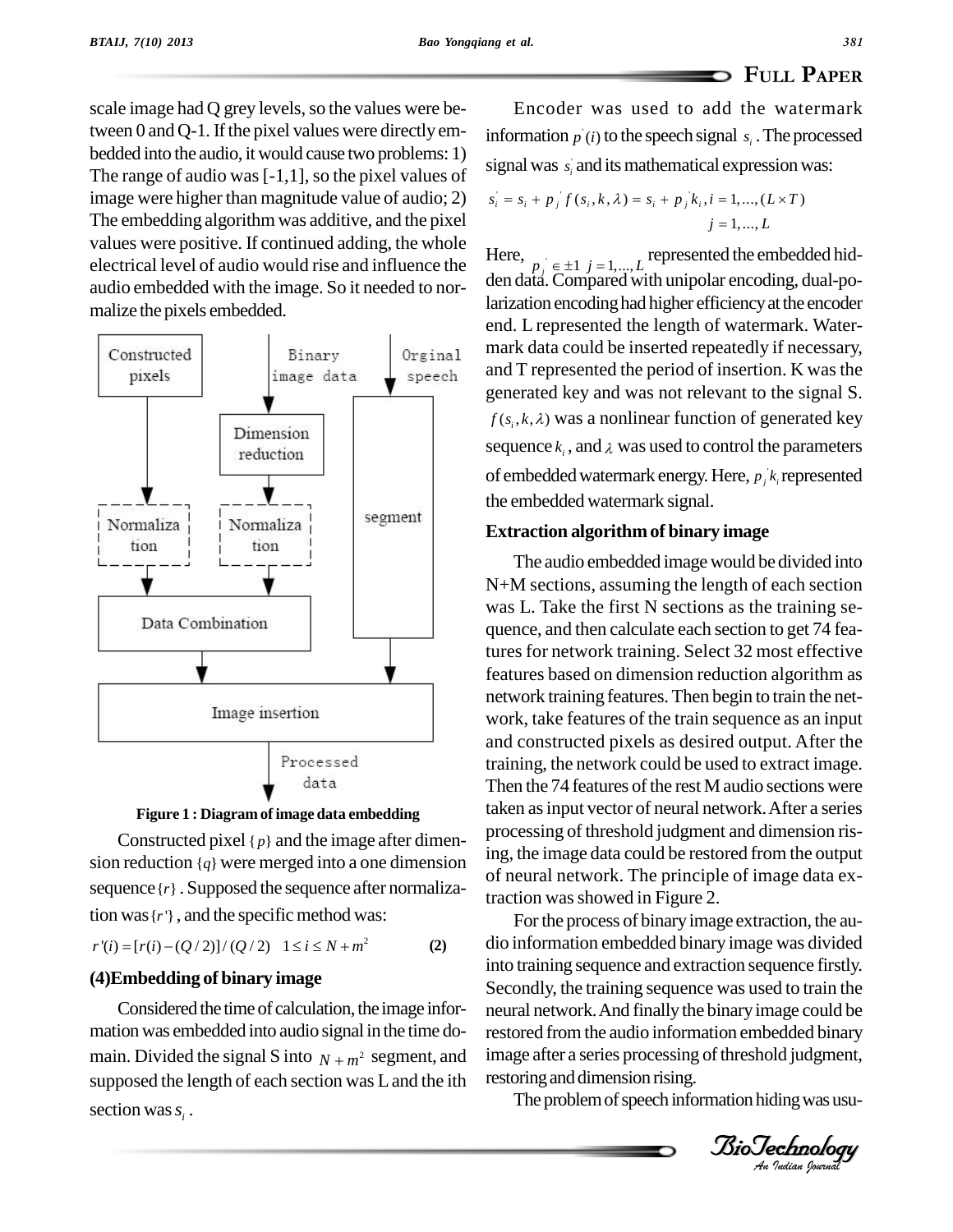scale image had Q grey levels, so the values were between 0 and  $Q-1$ . If the pixel values were directly embedded into the audio, it would cause two problems: 1) The range of audio was  $[-1,1]$ , so the pixel values of image were higher than magnitude value of audio; 2) The embedding algorithm was additive, and the pixel values were positive. If continued adding, the whole electrical level of audio would rise and influence the audio embedded with the image. So it needed to nor malize the pixels embedded.





Constructed pixel  $\{p\}$  and the image after dimension reduction  ${q}$  were merged into a one dimension sequence  $\{r\}$ . Supposed the sequence after normalization was {*r*'}, and the specific method was:<br>  $r'(i) = [r(i) - (Q/2)]/(Q/2) \quad 1 \le i \le N + m^2$  (2)

$$
r'(i) = [r(i) - (Q/2)]/(Q/2) \quad 1 \le i \le N + m^2
$$
 (2)

## **(4)Embedding of binary image**

Considered the time of calculation, the image information was embedded into audio signal in the time do main. Divided the signal S into  $N + m^2$  segment, and supposed the length of each section was Land the ith section was  $s_i$ .

Encoder was used to add the watermark information  $p'(i)$  to the speech signal  $s_i$ . The processed signal was  $s_i$  and its mathematical expression was:<br>  $s_i = s_i + p_i f(s_i, k, \lambda) = s_i + p_i k_i, i = 1, ..., (L \times T)$ 

$$
s_i = s_i + p_j f(s_i, k, \lambda) = s_i + p_j k_i, i = 1, ..., (L \times T)
$$
  

$$
j = 1, ..., L
$$

Here,  $j = 1,..., L$ <br> $p_j \in \pm 1$   $j = 1,..., L$  represented the embedded hid- $\det$  den data. Compared with unipolar encoding, dual-polarization encoding had higher efficiency at the encoder end. L represented the length of watermark. Water mark data could be inserted repeatedly if necessary, and T represented the period of insertion. K was the generated key and was not relevant to the signal S.  $f(s_i, k, \lambda)$  was a nonlinear function of generated key sequence  $k_i$ , and  $\lambda$  was used to control the parameters of embedded watermark energy. Here,  $p_j k_i$  represented the embedded watermark signal.

#### **Extraction algorithmof binary image**

The audio embedded image would be divided into N+M sections, assuming the length of each section was L. Take the first N sections as the training se quence, and then calculate each section to get 74 features for network training. Select 32 most effective features based on dimension reduction algorithm as network training features. Then begin to train the net work, take features of the train sequence as an input and constructed pixels as desired output. After the training, the network could be used to extract image. Then the  $74$  features of the rest M audio sections were taken asinput vector of neural network.After a series processing of threshold judgment and dimension rising, the image data could be restored from the output of neural network. The principle of image data extraction was showed in Figure 2.

into training sequence and extraction sequence firstly.<br>Secondly, the training sequence was used to train the restored from the audio information embedded binary For the process of binary image extraction, the audio information embedded binary image was divided Secondly, the training sequence was used to train the neural network.And finally the binaryimage could be image after a series processing of threshold judgment, restoring and dimension rising.

The problem of speech information hiding was usu-

*Indian Journal*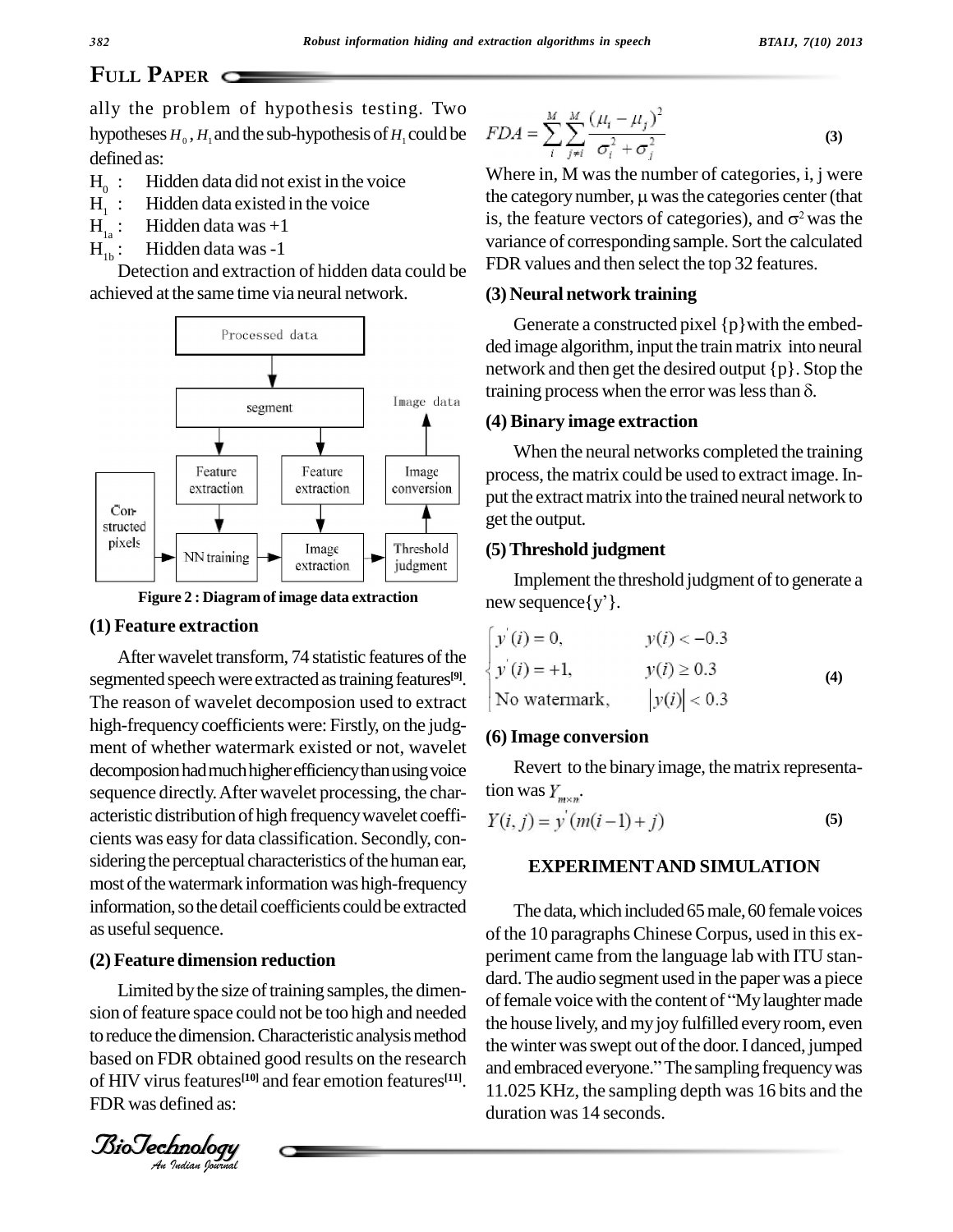# **PLILL PAPER** C

ally the problem of hypothesis testing. Two hypotheses  $H_0$ ,  $H_1$  and the sub-hypothesis of  $H_1$  could be defined as:

- $H_0$ : : Hidden data did not exist in the voice
- : Hidden data existed in the voice
- $H_1 :$ <br> $H_{12} :$ Hidden data was  $+1$
- $H_{1b}^-$ : Hidden data was-1

Detection and extraction of hidden data could be achieved at the same time via neural network.



**Figure 2 : Diagram of image data extraction**

#### **(1) Feature extraction**

After wavelet transform, 74 statistic features of the segmented speech were extracted as training features<sup>[9]</sup>. The reason of wavelet decomposion used to extract high-frequency coefficients were: Firstly, on the judgment of whether watermark existed or not, wavelet decomposion had much higher efficiency than using voice sequence directly.After wavelet processing, the char acteristic distribution of high frequencywavelet coeffi cients was easy fordata classification. Secondly, con sidering the perceptual characteristics of the human ear, most of the watermark information was high-frequency information, so the detail coefficients could be extracted as useful sequence.

# BioTechnologyBioTechnology**(2) Feature dimension reduction**

to reduce the dimension. Characteristic analysis method the win *I*omension. CDR obtained<br>*Is features<sup>[10]</sup>*<br>*Inology<br>Indian Iournal* Limited by the size of training samples, the dimension of feature space could not be too high and needed based on FDR obtained good results on the research  $\frac{dE}{d\Omega}$ of HIV virus features<sup>[10]</sup> and fear emotion features<sup>[11]</sup>.  $\frac{41}{11}$ FDR was defined as:

$$
FDA = \sum_{i}^{M} \sum_{j \neq i}^{M} \frac{(\mu_i - \mu_j)^2}{\sigma_i^2 + \sigma_j^2}
$$
 (3)

Where in, M was the number of categories, i, j were Where in, M was the number of categories, i, j were<br>the category number,  $\mu$  was the categories center (that Where in, M was the number of categories, i, j were<br>the category number,  $\mu$  was the categories center (that<br>is, the feature vectors of categories), and  $\sigma^2$  was the is, the feature vectors of categories), and  $\sigma^2$  was the variance of corresponding sample. Sort the calculated FDR values and then select the top 32 features.

#### **(3) Neural network training**

Generate a constructed pixel  $\{p\}$  with the embedded image algorithm, input the train matrix into neural network and then get the desired output {p}. Stop the ded image algorithm, input the train matrix into neural<br>network and then get the desired output  $\{p\}$ . Stop the<br>training process when the error was less than  $\delta$ .

#### **(4) Binary image extraction**

When the neural networks completed the training process, the matrix could be used to extract image.In put the extract matrix into the trained neural network to get the output.

#### **(5)Threshold judgment**

Implement the threshold judgment of to generate a new sequence $\{y'\}.$ 

| $y'(i) = 0,$  | $v(i) < -0.3$  |     |
|---------------|----------------|-----|
| $y'(i) = +1,$ | $y(i) \ge 0.3$ | (4) |
| No watermark, | y(i)  < 0.3    |     |

#### **(6)Image conversion**

Revert to the binary image, the matrix representation was  $Y_{\text{max}}$ .

$$
Y(i, j) = y'(m(i-1) + j)
$$
 (5)

#### **EXPERIMENTAND SIMULATION**

The data, which included 65 male, 60 female voices of the 10 paragraphs Chinese Corpus, used in this experiment came from the language lab with ITU stan dard.The audio segment used in the paper was a piece of female voice with the content of "My laughter made the house lively, and my joy fulfilled every room, even the winter was swept out of the door. I danced, jumped the house lively, and my joy fulfilled every room, even<br>the winter was swept out of the door. I danced, jumped<br>and embraced everyone.'' The sampling frequency was 11.025 KHz, the sampling depth was 16 bits and the duration was 14 seconds.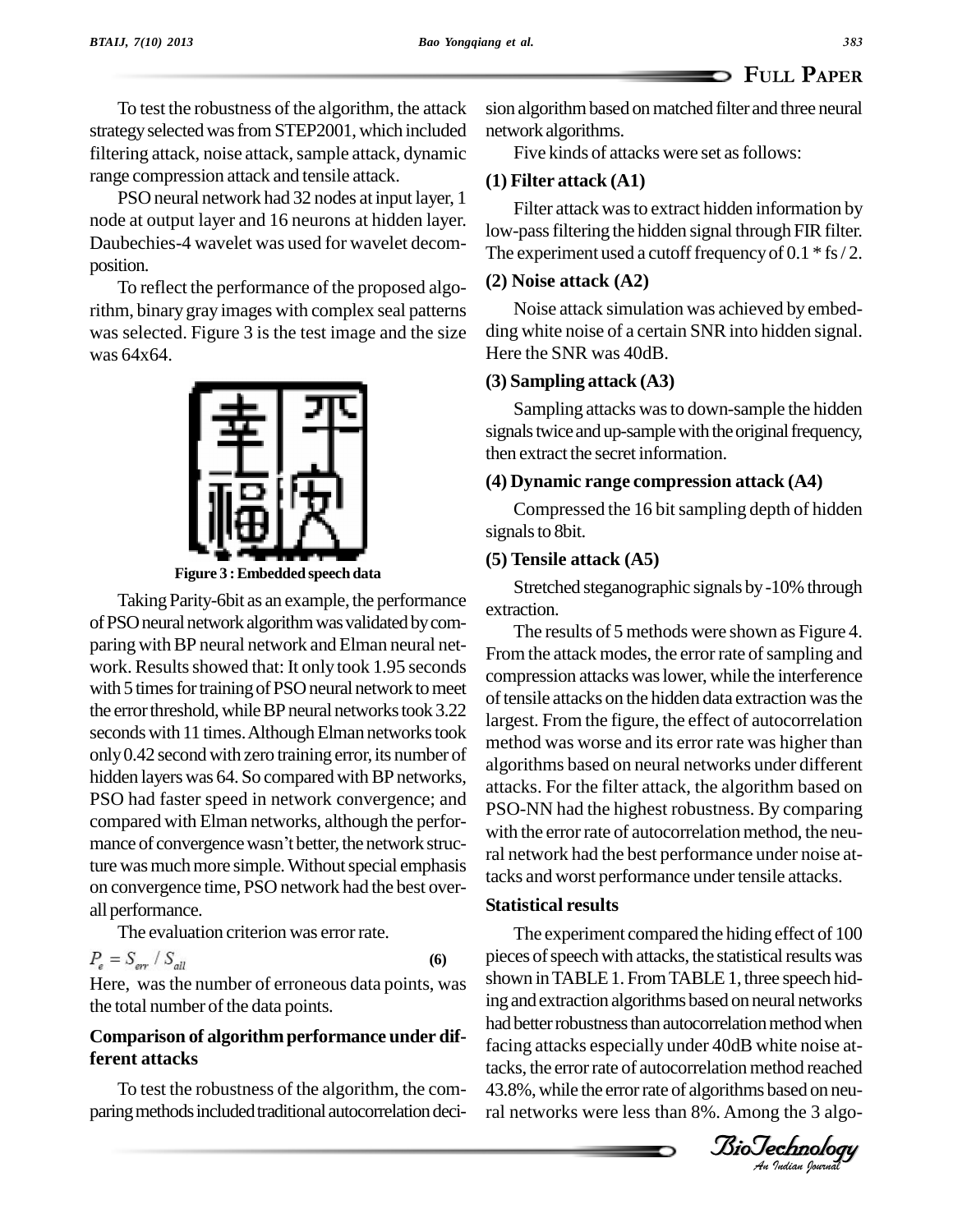To test the robustness of the algorithm, the attack strategy selected was from STEP2001, which included filtering attack, noise attack, sample attack, dynamic range compression attack and tensile attack.

PSO neural network had 32 nodes at input layer, 1 node at output layer and 16 neurons at hidden layer. Daubechies-4 wavelet was used for wavelet decom position.

To reflect the performance of the proposed algorithm, binary gray images with complex seal patterns was selected. Figure 3 is the test image and the size was 64x64.



**Figure 3 :Embedded speech data**

Taking Parity-6bit as an example, the performance of PSO neural network algorithm was validated by comparing with BP neural network and Elman neural network. Results showed that: It only took 1.95 seconds with 5 times for training of PSO neural network to meet the error threshold, while BP neural networks took 3.22 seconds with 11 times. Although Elman networks took only 0.42 second with zero training error, its number of hidden layers was 64. So compared with BP networks, PSO had faster speed in network convergence; and<br>
compared with Elman networks, although the perfor-<br>
mance of convergence wasn't better, the network struccompared with Elman networks, although the perfor ture was much more simple. Without special emphasis on convergence time, PSO network had the best over all performance.

The evaluation criterion was error rate.

$$
P_e = S_{err} / S_{all} \tag{6}
$$

Here, wasthe number of erroneous data points, was the total number of the data points.

## **Comparison of algorithmperformance under different attacks**

To test the robustness of the algorithm, the com paring methods included traditional autocorrelation decision algorithm based on matched filter and three neural network algorithms.

Five kinds of attacks were set as follows:

# **(1) Filter attack (A1)**

Filter attack was to extract hidden information by low-pass filtering the hidden signal through FIR filter. The experiment used a cutoff frequency of  $0.1 * fs / 2$ .

## **(2) Noise attack (A2)**

Noise attack simulation was achieved by embed ding white noise of a certain SNRinto hidden signal. Here the SNR was 40dB.

## **(3) Sampling attack (A3)**

Sampling attacks wasto down-sample the hidden signals twice and up-sample with the original frequency, then extract the secret information.

## **(4) Dynamic range compression attack (A4)**

Compressed the 16 bit sampling depth of hidden signals to 8bit.

## **(5) Tensile attack (A5)**

Stretched steganographic signals by -10% through extraction.

The results of 5 methods were shown as Figure 4. From the attack modes, the error rate of sampling and compression attacks waslower, while the interference of tensile attacks on the hidden data extraction was the largest. From the figure, the effect of autocorrelation method was worse and its error rate was higher than algorithms based on neural networks under different attacks. For the filter attack, the algorithm based on PSO-NN had the highest robustness. By comparing with the error rate of autocorrelation method, the neural network had the best performance under noise attacks and worst performance under tensile attacks.

## **Statistical results**

preces of speech with attacks, the statistical results was<br>shown in TABLE 1. From TABLE 1, three speech hid-*An*facing attacks especially under 40dB white noise at-The experiment compared the hiding effect of 100 pieces of speech with attacks, the statistical results was ing andextraction algorithms based onneural networks had better robustness than autocorrelation method when tacks, the error rate of autocorrelation method reached 43.8%, while the error rate of algorithms based on neural networks were less than 8%.Among the 3 algo-

*Indian Journal*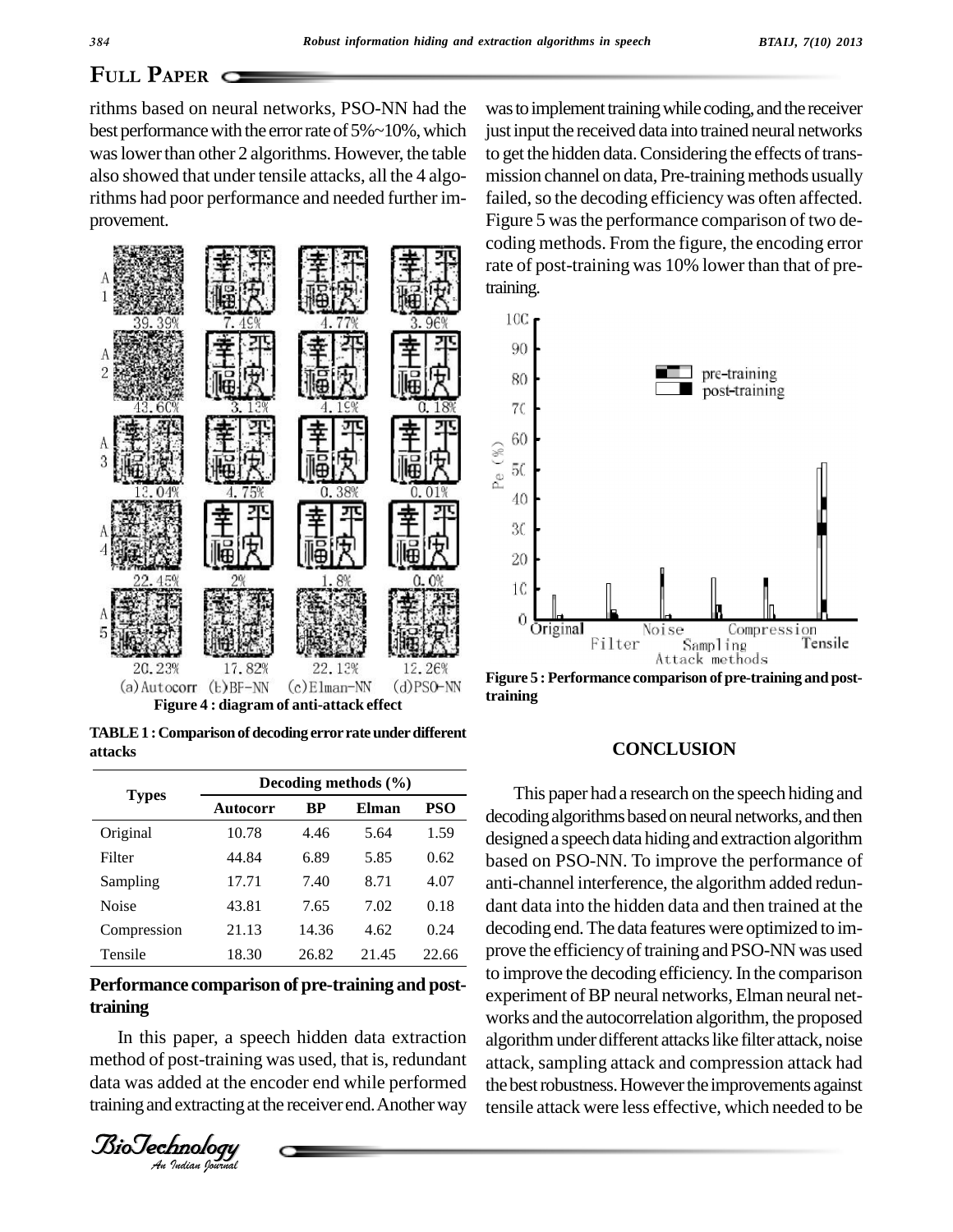# **PLILL PAPER** C

rithms based on neural networks, PSO-NN had the best performance with the error rate of  $5\%$  ~10%, which was lower than other 2 algorithms. However, the table also showed that under tensile attacks, all the 4 algorithms had poor performance and needed further im provement.



**TABLE1 :Comparisonofdecoding errorrateunderdifferent attacks**

| <b>Types</b> | Decoding methods $(\% )$ |       |              |            |
|--------------|--------------------------|-------|--------------|------------|
|              | Autocorr                 | BP    | <b>Elman</b> | <b>PSO</b> |
| Original     | 10.78                    | 4.46  | 5.64         | 1.59       |
| Filter       | 44.84                    | 6.89  | 5.85         | 0.62       |
| Sampling     | 17.71                    | 7.40  | 8.71         | 4.07       |
| Noise        | 43.81                    | 7.65  | 7.02         | 0.18       |
| Compression  | 21.13                    | 14.36 | 4.62         | 0.24       |
| Tensile      | 18.30                    | 26.82 | 21.45        | 22.66      |

# Performance comparison of pre-training and post**training**

In this paper, a speech hidden data extraction algorith paper, a spa<br>post-training<br>**Idea** at the enderstand<br>**Incology** method of post-training was used, that is, redundant att data was added at the encoder end while performed training and extracting at the receiver end. Another way

was to implement training while coding, and the receiver just input the received data into trained neural networks to get the hidden data. Considering the effects of transmission channel on data, Pre-training methods usually failed, so the decoding efficiency was often affected. Figure 5 was the performance comparison of two decoding methods. From the figure, the encoding error rate of post-training was 10% lower than that of pretraining.



**Figure 5 : Performance comparison of pre-training and posttraining**

#### **CONCLUSION**

**Autocorr BP Elman PSO** decodingalgorithmsbasedonneuralnetworks,andthen This paper had a research on the speech hiding and designed a speech data hiding and extraction algorithm based on PSO-NN. To improve the performance of anti-channel interference, the algorithm added redun dant data into the hidden data and then trained at the decoding end.The data features were optimized to im prove the efficiency of training and PSO-NN was used to improve the decoding efficiency. In the comparison experiment of BP neural networks, Elman neural networks and the autocorrelation algorithm, the proposed algorithm under different attacks like filter attack, noise attack, sampling attack and compression attack had the best robustness. However the improvements against tensile attack were less effective, which needed to be